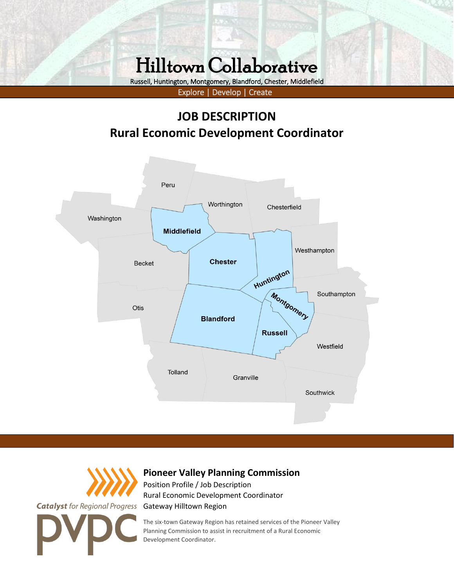# Hilltown Collaborative

JOB DESCRIPTION: Rural Economic Development Coordinator

Russell, Huntington, Montgomery, Blandford, Chester, Middlefield

Explore | Develop | Create

### **JOB DESCRIPTION Rural Economic Development Coordinator**





### **Pioneer Valley Planning Commission**

Position Profile / Job Description Rural Economic Development Coordinator Gateway Hilltown Region

The six-town Gateway Region has retained services of the Pioneer Valley Planning Commission to assist in recruitment of a Rural Economic Development Coordinator.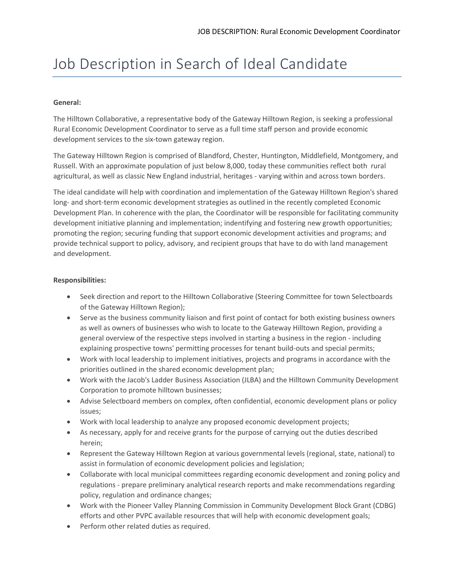## Job Description in Search of Ideal Candidate

#### **General:**

The Hilltown Collaborative, a representative body of the Gateway Hilltown Region, is seeking a professional Rural Economic Development Coordinator to serve as a full time staff person and provide economic development services to the six-town gateway region.

The Gateway Hilltown Region is comprised of Blandford, Chester, Huntington, Middlefield, Montgomery, and Russell. With an approximate population of just below 8,000, today these communities reflect both rural agricultural, as well as classic New England industrial, heritages - varying within and across town borders.

The ideal candidate will help with coordination and implementation of the Gateway Hilltown Region's shared long- and short-term economic development strategies as outlined in the recently completed Economic Development Plan. In coherence with the plan, the Coordinator will be responsible for facilitating community development initiative planning and implementation; indentifying and fostering new growth opportunities; promoting the region; securing funding that support economic development activities and programs; and provide technical support to policy, advisory, and recipient groups that have to do with land management and development.

#### **Responsibilities:**

- Seek direction and report to the Hilltown Collaborative (Steering Committee for town Selectboards of the Gateway Hilltown Region);
- Serve as the business community liaison and first point of contact for both existing business owners as well as owners of businesses who wish to locate to the Gateway Hilltown Region, providing a general overview of the respective steps involved in starting a business in the region - including explaining prospective towns' permitting processes for tenant build-outs and special permits;
- Work with local leadership to implement initiatives, projects and programs in accordance with the priorities outlined in the shared economic development plan;
- Work with the Jacob's Ladder Business Association (JLBA) and the Hilltown Community Development Corporation to promote hilltown businesses;
- Advise Selectboard members on complex, often confidential, economic development plans or policy issues;
- Work with local leadership to analyze any proposed economic development projects;
- As necessary, apply for and receive grants for the purpose of carrying out the duties described herein;
- Represent the Gateway Hilltown Region at various governmental levels (regional, state, national) to assist in formulation of economic development policies and legislation;
- Collaborate with local municipal committees regarding economic development and zoning policy and regulations - prepare preliminary analytical research reports and make recommendations regarding policy, regulation and ordinance changes;
- Work with the Pioneer Valley Planning Commission in Community Development Block Grant (CDBG) efforts and other PVPC available resources that will help with economic development goals;
- Perform other related duties as required.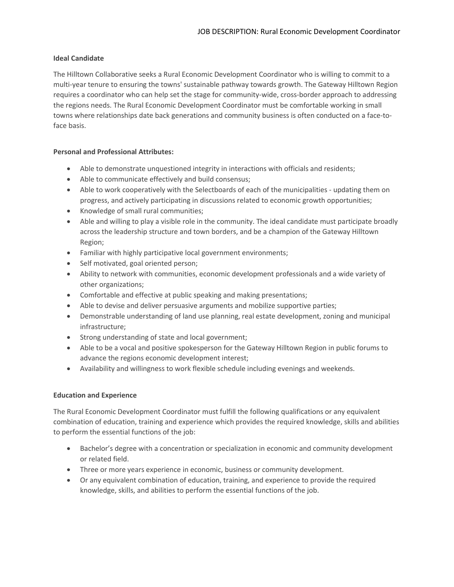#### **Ideal Candidate**

The Hilltown Collaborative seeks a Rural Economic Development Coordinator who is willing to commit to a multi-year tenure to ensuring the towns' sustainable pathway towards growth. The Gateway Hilltown Region requires a coordinator who can help set the stage for community-wide, cross-border approach to addressing the regions needs. The Rural Economic Development Coordinator must be comfortable working in small towns where relationships date back generations and community business is often conducted on a face-toface basis.

#### **Personal and Professional Attributes:**

- Able to demonstrate unquestioned integrity in interactions with officials and residents;
- Able to communicate effectively and build consensus;
- Able to work cooperatively with the Selectboards of each of the municipalities updating them on progress, and actively participating in discussions related to economic growth opportunities;
- Knowledge of small rural communities;
- Able and willing to play a visible role in the community. The ideal candidate must participate broadly across the leadership structure and town borders, and be a champion of the Gateway Hilltown Region;
- Familiar with highly participative local government environments;
- Self motivated, goal oriented person;
- Ability to network with communities, economic development professionals and a wide variety of other organizations;
- Comfortable and effective at [public speaking](http://www.sseer.ca/community-economic-development/economic-development/characteristics-of-an-effective-economic-development-officer/) and making presentations;
- Able to devise and deliver persuasive arguments and mobilize supportive parties;
- Demonstrable [understanding](http://www.sseer.ca/community-economic-development/economic-development/characteristics-of-an-effective-economic-development-officer/) of land use planning, real estate development, zoning and municipal infrastructure;
- Strong understanding of state and local government;
- Able to be a vocal and positive spokesperson for the Gateway Hilltown Region in public forums to advance the regions economic development interest;
- Availability and willingness to work flexible schedule including evenings and weekends.

#### **Education and Experience**

The Rural Economic Development Coordinator must fulfill the following qualifications or any equivalent combination of education, training and experience which provides the required knowledge, skills and abilities to perform the essential functions of the job:

- Bachelor's degree with a concentration or specialization in economic and community development or related field.
- Three or more years experience in economic, business or community development.
- Or any equivalent combination of education, training, and experience to provide the required knowledge, skills, and abilities to perform the essential functions of the job.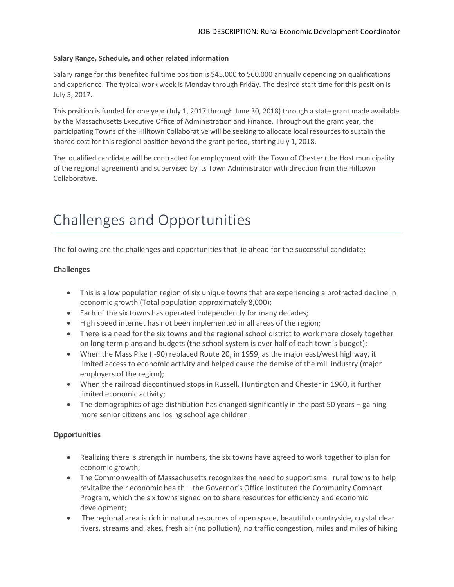#### **Salary Range, Schedule, and other related information**

Salary range for this benefited fulltime position is \$45,000 to \$60,000 annually depending on qualifications and experience. The typical work week is Monday through Friday. The desired start time for this position is July 5, 2017.

This position is funded for one year (July 1, 2017 through June 30, 2018) through a state grant made available by the Massachusetts Executive Office of Administration and Finance. Throughout the grant year, the participating Towns of the Hilltown Collaborative will be seeking to allocate local resources to sustain the shared cost for this regional position beyond the grant period, starting July 1, 2018.

The qualified candidate will be contracted for employment with the Town of Chester (the Host municipality of the regional agreement) and supervised by its Town Administrator with direction from the Hilltown Collaborative.

# Challenges and Opportunities

The following are the challenges and opportunities that lie ahead for the successful candidate:

#### **Challenges**

- This is a low population region of six unique towns that are experiencing a protracted decline in economic growth (Total population approximately 8,000);
- Each of the six towns has operated independently for many decades;
- High speed internet has not been implemented in all areas of the region;
- There is a need for the six towns and the regional school district to work more closely together on long term plans and budgets (the school system is over half of each town's budget);
- When the Mass Pike (I-90) replaced Route 20, in 1959, as the major east/west highway, it limited access to economic activity and helped cause the demise of the mill industry (major employers of the region);
- When the railroad discontinued stops in Russell, Huntington and Chester in 1960, it further limited economic activity;
- The demographics of age distribution has changed significantly in the past 50 years gaining more senior citizens and losing school age children.

#### **Opportunities**

- Realizing there is strength in numbers, the six towns have agreed to work together to plan for economic growth;
- The Commonwealth of Massachusetts recognizes the need to support small rural towns to help revitalize their economic health – the Governor's Office instituted the Community Compact Program, which the six towns signed on to share resources for efficiency and economic development;
- The regional area is rich in natural resources of open space, beautiful countryside, crystal clear rivers, streams and lakes, fresh air (no pollution), no traffic congestion, miles and miles of hiking